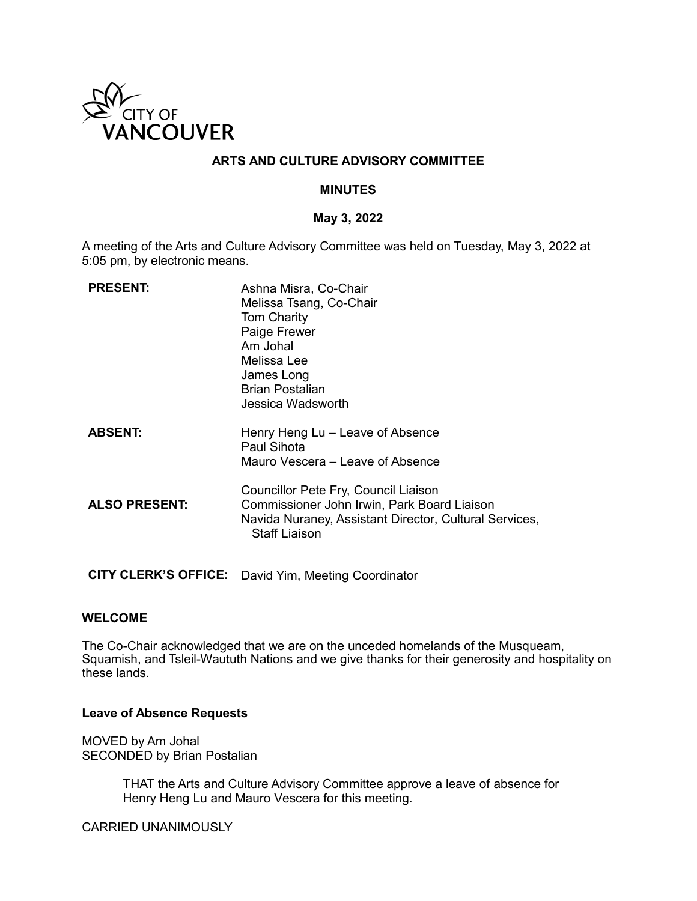

# **ARTS AND CULTURE ADVISORY COMMITTEE**

## **MINUTES**

### **May 3, 2022**

A meeting of the Arts and Culture Advisory Committee was held on Tuesday, May 3, 2022 at 5:05 pm, by electronic means.

| <b>PRESENT:</b>      | Ashna Misra, Co-Chair<br>Melissa Tsang, Co-Chair<br><b>Tom Charity</b><br>Paige Frewer<br>Am Johal<br>Melissa Lee<br>James Long<br><b>Brian Postalian</b><br>Jessica Wadsworth |
|----------------------|--------------------------------------------------------------------------------------------------------------------------------------------------------------------------------|
| <b>ABSENT:</b>       | Henry Heng Lu - Leave of Absence<br>Paul Sihota<br>Mauro Vescera – Leave of Absence                                                                                            |
| <b>ALSO PRESENT:</b> | Councillor Pete Fry, Council Liaison<br>Commissioner John Irwin, Park Board Liaison<br>Navida Nuraney, Assistant Director, Cultural Services,<br><b>Staff Liaison</b>          |
|                      |                                                                                                                                                                                |

**CITY CLERK'S OFFICE:** David Yim, Meeting Coordinator

### **WELCOME**

The Co-Chair acknowledged that we are on the unceded homelands of the Musqueam, Squamish, and Tsleil-Waututh Nations and we give thanks for their generosity and hospitality on these lands.

# **Leave of Absence Requests**

MOVED by Am Johal SECONDED by Brian Postalian

> THAT the Arts and Culture Advisory Committee approve a leave of absence for Henry Heng Lu and Mauro Vescera for this meeting.

CARRIED UNANIMOUSLY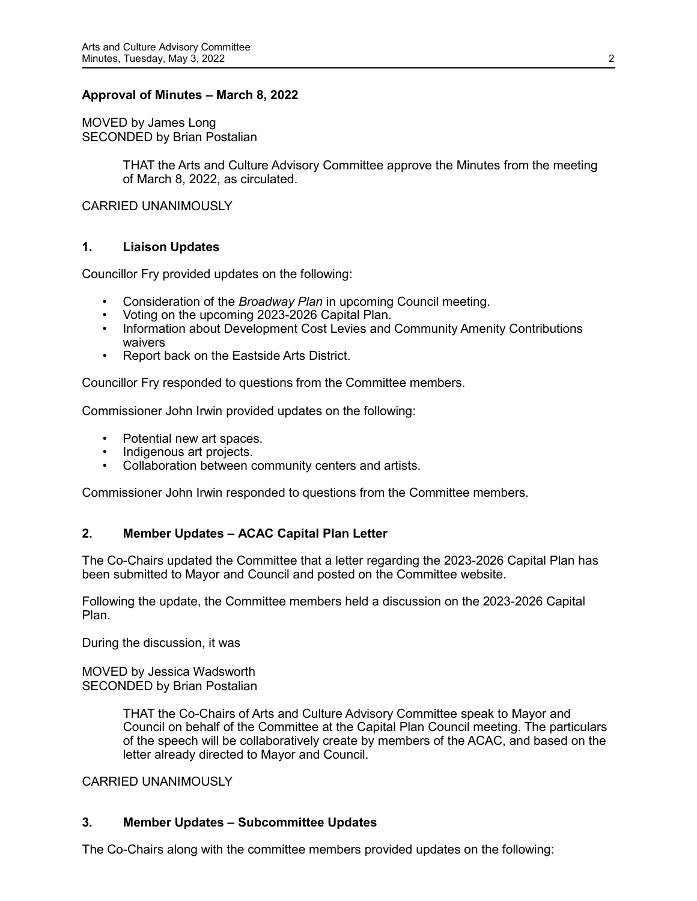# **Approval of Minutes – March 8, 2022**

MOVED by James Long SECONDED by Brian Postalian

> THAT the Arts and Culture Advisory Committee approve the Minutes from the meeting of March 8, 2022, as circulated.

CARRIED UNANIMOUSLY

## **1. Liaison Updates**

Councillor Fry provided updates on the following:

- Consideration of the *Broadway Plan* in upcoming Council meeting.
- Voting on the upcoming 2023-2026 Capital Plan.
- Information about Development Cost Levies and Community Amenity Contributions waivers
- Report back on the Eastside Arts District.

Councillor Fry responded to questions from the Committee members.

Commissioner John Irwin provided updates on the following:

- Potential new art spaces.
- Indigenous art projects.
- Collaboration between community centers and artists.

Commissioner John Irwin responded to questions from the Committee members.

### **2. Member Updates – ACAC Capital Plan Letter**

The Co-Chairs updated the Committee that a letter regarding the 2023-2026 Capital Plan has been submitted to Mayor and Council and posted on the Committee website.

Following the update, the Committee members held a discussion on the 2023-2026 Capital Plan.

During the discussion, it was

MOVED by Jessica Wadsworth SECONDED by Brian Postalian

> THAT the Co-Chairs of Arts and Culture Advisory Committee speak to Mayor and Council on behalf of the Committee at the Capital Plan Council meeting. The particulars of the speech will be collaboratively create by members of the ACAC, and based on the letter already directed to Mayor and Council.

CARRIED UNANIMOUSLY

# **3. Member Updates – Subcommittee Updates**

The Co-Chairs along with the committee members provided updates on the following: